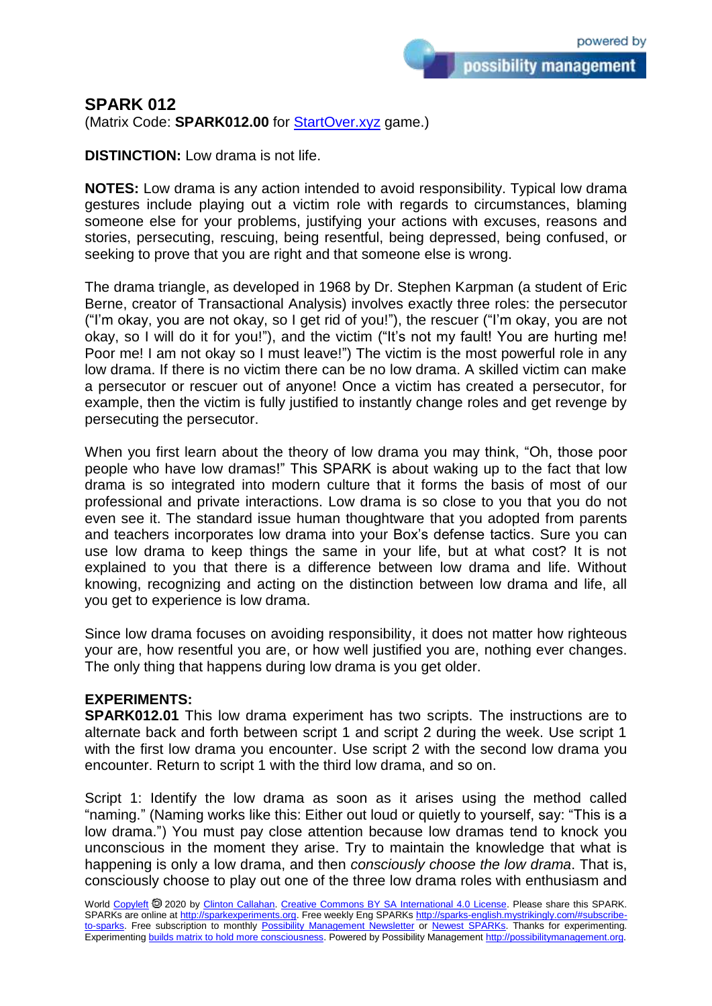possibility management

## **SPARK 012**

(Matrix Code: **SPARK012.00** for **StartOver.xyz** game.)

**DISTINCTION:** Low drama is not life.

**NOTES:** Low drama is any action intended to avoid responsibility. Typical low drama gestures include playing out a victim role with regards to circumstances, blaming someone else for your problems, justifying your actions with excuses, reasons and stories, persecuting, rescuing, being resentful, being depressed, being confused, or seeking to prove that you are right and that someone else is wrong.

The drama triangle, as developed in 1968 by Dr. Stephen Karpman (a student of Eric Berne, creator of Transactional Analysis) involves exactly three roles: the persecutor ("I'm okay, you are not okay, so I get rid of you!"), the rescuer ("I'm okay, you are not okay, so I will do it for you!"), and the victim ("It's not my fault! You are hurting me! Poor me! I am not okay so I must leave!") The victim is the most powerful role in any low drama. If there is no victim there can be no low drama. A skilled victim can make a persecutor or rescuer out of anyone! Once a victim has created a persecutor, for example, then the victim is fully justified to instantly change roles and get revenge by persecuting the persecutor.

When you first learn about the theory of low drama you may think, "Oh, those poor people who have low dramas!" This SPARK is about waking up to the fact that low drama is so integrated into modern culture that it forms the basis of most of our professional and private interactions. Low drama is so close to you that you do not even see it. The standard issue human thoughtware that you adopted from parents and teachers incorporates low drama into your Box's defense tactics. Sure you can use low drama to keep things the same in your life, but at what cost? It is not explained to you that there is a difference between low drama and life. Without knowing, recognizing and acting on the distinction between low drama and life, all you get to experience is low drama.

Since low drama focuses on avoiding responsibility, it does not matter how righteous your are, how resentful you are, or how well justified you are, nothing ever changes. The only thing that happens during low drama is you get older.

## **EXPERIMENTS:**

**SPARK012.01** This low drama experiment has two scripts. The instructions are to alternate back and forth between script 1 and script 2 during the week. Use script 1 with the first low drama you encounter. Use script 2 with the second low drama you encounter. Return to script 1 with the third low drama, and so on.

Script 1: Identify the low drama as soon as it arises using the method called "naming." (Naming works like this: Either out loud or quietly to yourself, say: "This is a low drama.") You must pay close attention because low dramas tend to knock you unconscious in the moment they arise. Try to maintain the knowledge that what is happening is only a low drama, and then *consciously choose the low drama*. That is, consciously choose to play out one of the three low drama roles with enthusiasm and